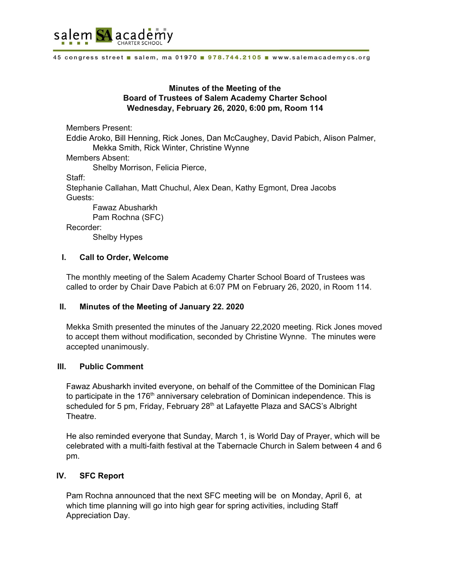

45 congress street salem, ma 01970 978.744.2105 www.salemacademycs.org

### **Minutes of the Meeting of the Board of Trustees of Salem Academy Charter School Wednesday, February 26, 2020, 6:00 pm, Room 114**

Members Present:

Eddie Aroko, Bill Henning, Rick Jones, Dan McCaughey, David Pabich, Alison Palmer, Mekka Smith, Rick Winter, Christine Wynne

Members Absent:

Shelby Morrison, Felicia Pierce,

Staff:

Stephanie Callahan, Matt Chuchul, Alex Dean, Kathy Egmont, Drea Jacobs Guests:

Fawaz Abusharkh Pam Rochna (SFC)

Recorder:

Shelby Hypes

### **I. Call to Order, Welcome**

The monthly meeting of the Salem Academy Charter School Board of Trustees was called to order by Chair Dave Pabich at 6:07 PM on February 26, 2020, in Room 114.

### **II. Minutes of the Meeting of January 22. 2020**

Mekka Smith presented the minutes of the January 22,2020 meeting. Rick Jones moved to accept them without modification, seconded by Christine Wynne. The minutes were accepted unanimously.

#### **III. Public Comment**

Fawaz Abusharkh invited everyone, on behalf of the Committee of the Dominican Flag to participate in the 176<sup>th</sup> anniversary celebration of Dominican independence. This is scheduled for 5 pm, Friday, February 28<sup>th</sup> at Lafayette Plaza and SACS's Albright Theatre.

He also reminded everyone that Sunday, March 1, is World Day of Prayer, which will be celebrated with a multi-faith festival at the Tabernacle Church in Salem between 4 and 6 pm.

### **IV. SFC Report**

Pam Rochna announced that the next SFC meeting will be on Monday, April 6, at which time planning will go into high gear for spring activities, including Staff Appreciation Day.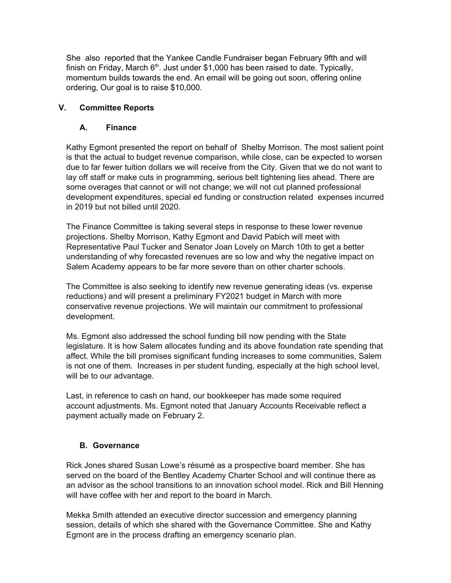She also reported that the Yankee Candle Fundraiser began February 9fth and will finish on Friday, March  $6<sup>th</sup>$ . Just under \$1,000 has been raised to date. Typically, momentum builds towards the end. An email will be going out soon, offering online ordering, Our goal is to raise \$10,000.

## **V. Committee Reports**

## **A. Finance**

Kathy Egmont presented the report on behalf of Shelby Morrison. The most salient point is that the actual to budget revenue comparison, while close, can be expected to worsen due to far fewer tuition dollars we will receive from the City. Given that we do not want to lay off staff or make cuts in programming, serious belt tightening lies ahead. There are some overages that cannot or will not change; we will not cut planned professional development expenditures, special ed funding or construction related expenses incurred in 2019 but not billed until 2020.

The Finance Committee is taking several steps in response to these lower revenue projections. Shelby Morrison, Kathy Egmont and David Pabich will meet with Representative Paul Tucker and Senator Joan Lovely on March 10th to get a better understanding of why forecasted revenues are so low and why the negative impact on Salem Academy appears to be far more severe than on other charter schools.

The Committee is also seeking to identify new revenue generating ideas (vs. expense reductions) and will present a preliminary FY2021 budget in March with more conservative revenue projections. We will maintain our commitment to professional development.

Ms. Egmont also addressed the school funding bill now pending with the State legislature. It is how Salem allocates funding and its above foundation rate spending that affect. While the bill promises significant funding increases to some communities, Salem is not one of them. Increases in per student funding, especially at the high school level, will be to our advantage.

Last, in reference to cash on hand, our bookkeeper has made some required account adjustments. Ms. Egmont noted that January Accounts Receivable reflect a payment actually made on February 2.

# **B. Governance**

Rick Jones shared Susan Lowe's résumé as a prospective board member. She has served on the board of the Bentley Academy Charter School and will continue there as an advisor as the school transitions to an innovation school model. Rick and Bill Henning will have coffee with her and report to the board in March.

Mekka Smith attended an executive director succession and emergency planning session, details of which she shared with the Governance Committee. She and Kathy Egmont are in the process drafting an emergency scenario plan.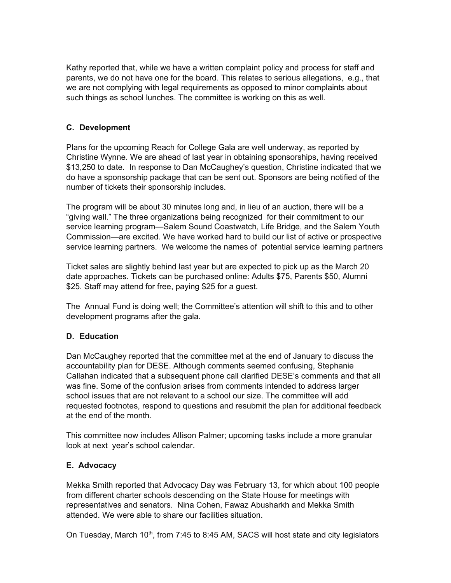Kathy reported that, while we have a written complaint policy and process for staff and parents, we do not have one for the board. This relates to serious allegations, e.g., that we are not complying with legal requirements as opposed to minor complaints about such things as school lunches. The committee is working on this as well.

## **C. Development**

Plans for the upcoming Reach for College Gala are well underway, as reported by Christine Wynne. We are ahead of last year in obtaining sponsorships, having received \$13,250 to date. In response to Dan McCaughey's question, Christine indicated that we do have a sponsorship package that can be sent out. Sponsors are being notified of the number of tickets their sponsorship includes.

The program will be about 30 minutes long and, in lieu of an auction, there will be a "giving wall." The three organizations being recognized for their commitment to our service learning program—Salem Sound Coastwatch, Life Bridge, and the Salem Youth Commission—are excited. We have worked hard to build our list of active or prospective service learning partners. We welcome the names of potential service learning partners

Ticket sales are slightly behind last year but are expected to pick up as the March 20 date approaches. Tickets can be purchased online: Adults \$75, Parents \$50, Alumni \$25. Staff may attend for free, paying \$25 for a guest.

The Annual Fund is doing well; the Committee's attention will shift to this and to other development programs after the gala.

## **D. Education**

Dan McCaughey reported that the committee met at the end of January to discuss the accountability plan for DESE. Although comments seemed confusing, Stephanie Callahan indicated that a subsequent phone call clarified DESE's comments and that all was fine. Some of the confusion arises from comments intended to address larger school issues that are not relevant to a school our size. The committee will add requested footnotes, respond to questions and resubmit the plan for additional feedback at the end of the month.

This committee now includes Allison Palmer; upcoming tasks include a more granular look at next year's school calendar.

### **E. Advocacy**

Mekka Smith reported that Advocacy Day was February 13, for which about 100 people from different charter schools descending on the State House for meetings with representatives and senators. Nina Cohen, Fawaz Abusharkh and Mekka Smith attended. We were able to share our facilities situation.

On Tuesday, March 10<sup>th</sup>, from 7:45 to 8:45 AM, SACS will host state and city legislators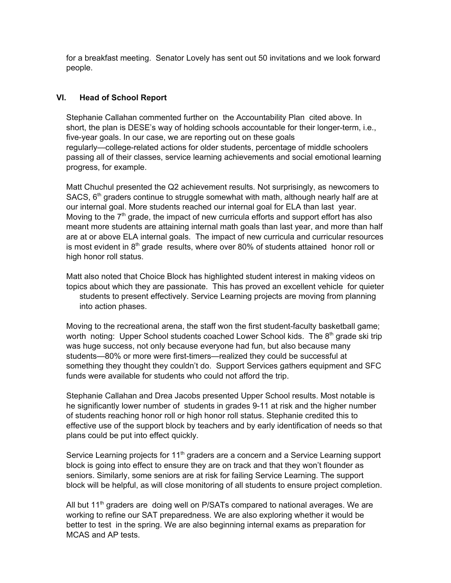for a breakfast meeting. Senator Lovely has sent out 50 invitations and we look forward people.

### **VI. Head of School Report**

Stephanie Callahan commented further on the Accountability Plan cited above. In short, the plan is DESE's way of holding schools accountable for their longer-term, i.e., five-year goals. In our case, we are reporting out on these goals regularly—college-related actions for older students, percentage of middle schoolers passing all of their classes, service learning achievements and social emotional learning progress, for example.

Matt Chuchul presented the Q2 achievement results. Not surprisingly, as newcomers to SACS, 6<sup>th</sup> graders continue to struggle somewhat with math, although nearly half are at our internal goal. More students reached our internal goal for ELA than last year. Moving to the  $7<sup>th</sup>$  grade, the impact of new curricula efforts and support effort has also meant more students are attaining internal math goals than last year, and more than half are at or above ELA internal goals. The impact of new curricula and curricular resources is most evident in  $8<sup>th</sup>$  grade results, where over 80% of students attained honor roll or high honor roll status.

Matt also noted that Choice Block has highlighted student interest in making videos on topics about which they are passionate. This has proved an excellent vehicle for quieter students to present effectively. Service Learning projects are moving from planning into action phases.

Moving to the recreational arena, the staff won the first student-faculty basketball game; worth noting: Upper School students coached Lower School kids. The 8<sup>th</sup> grade ski trip was huge success, not only because everyone had fun, but also because many students—80% or more were first-timers—realized they could be successful at something they thought they couldn't do. Support Services gathers equipment and SFC funds were available for students who could not afford the trip.

Stephanie Callahan and Drea Jacobs presented Upper School results. Most notable is he significantly lower number of students in grades 9-11 at risk and the higher number of students reaching honor roll or high honor roll status. Stephanie credited this to effective use of the support block by teachers and by early identification of needs so that plans could be put into effect quickly.

Service Learning projects for 11<sup>th</sup> graders are a concern and a Service Learning support block is going into effect to ensure they are on track and that they won't flounder as seniors. Similarly, some seniors are at risk for failing Service Learning. The support block will be helpful, as will close monitoring of all students to ensure project completion.

All but 11<sup>th</sup> graders are doing well on P/SATs compared to national averages. We are working to refine our SAT preparedness. We are also exploring whether it would be better to test in the spring. We are also beginning internal exams as preparation for MCAS and AP tests.